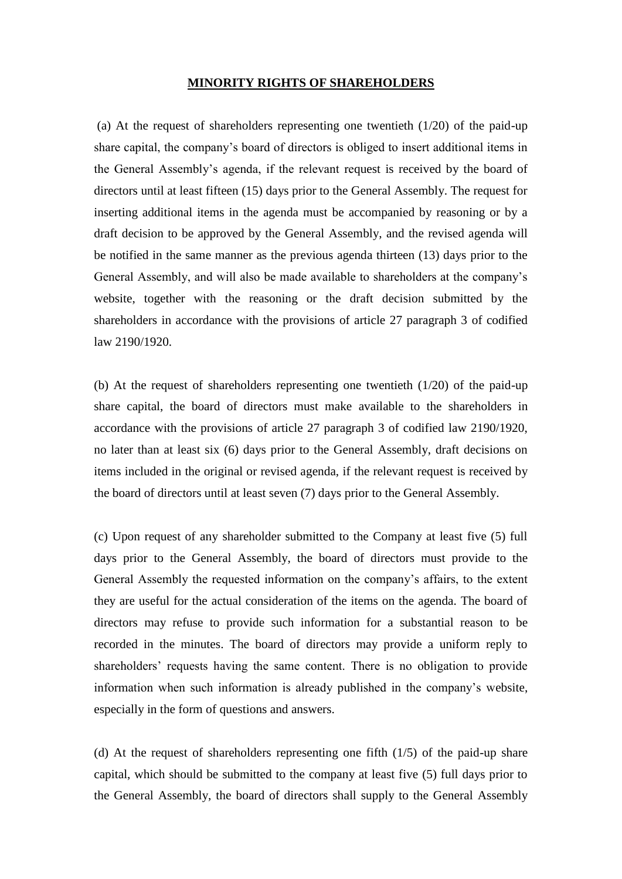## **MINORITY RIGHTS OF SHAREHOLDERS**

(a) At the request of shareholders representing one twentieth (1/20) of the paid-up share capital, the company's board of directors is obliged to insert additional items in the General Assembly's agenda, if the relevant request is received by the board of directors until at least fifteen (15) days prior to the General Assembly. The request for inserting additional items in the agenda must be accompanied by reasoning or by a draft decision to be approved by the General Assembly, and the revised agenda will be notified in the same manner as the previous agenda thirteen (13) days prior to the General Assembly, and will also be made available to shareholders at the company's website, together with the reasoning or the draft decision submitted by the shareholders in accordance with the provisions of article 27 paragraph 3 of codified law 2190/1920.

(b) At the request of shareholders representing one twentieth (1/20) of the paid-up share capital, the board of directors must make available to the shareholders in accordance with the provisions of article 27 paragraph 3 of codified law 2190/1920, no later than at least six (6) days prior to the General Assembly, draft decisions on items included in the original or revised agenda, if the relevant request is received by the board of directors until at least seven (7) days prior to the General Assembly.

(c) Upon request of any shareholder submitted to the Company at least five (5) full days prior to the General Assembly, the board of directors must provide to the General Assembly the requested information on the company's affairs, to the extent they are useful for the actual consideration of the items on the agenda. The board of directors may refuse to provide such information for a substantial reason to be recorded in the minutes. The board of directors may provide a uniform reply to shareholders' requests having the same content. There is no obligation to provide information when such information is already published in the company's website, especially in the form of questions and answers.

(d) At the request of shareholders representing one fifth (1/5) of the paid-up share capital, which should be submitted to the company at least five (5) full days prior to the General Assembly, the board of directors shall supply to the General Assembly